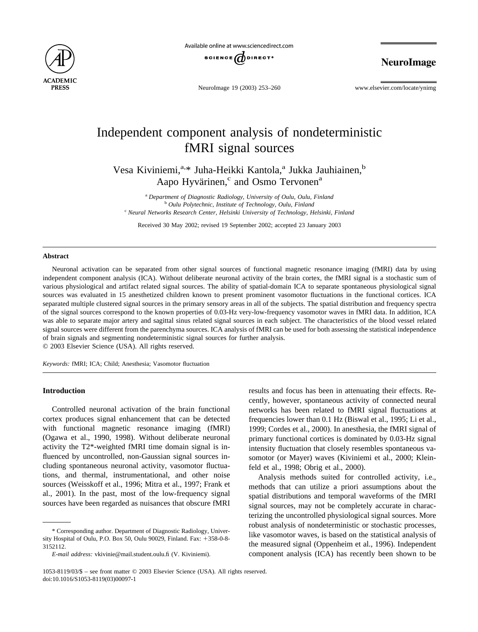



**NeuroImage** 

NeuroImage 19 (2003) 253–260 www.elsevier.com/locate/ynimg

# Independent component analysis of nondeterministic fMRI signal sources

Vesa Kiviniemi,<sup>a,\*</sup> Juha-Heikki Kantola,<sup>a</sup> Jukka Jauhiainen,<sup>b</sup> Aapo Hyvärinen,<sup>c</sup> and Osmo Tervonen<sup>a</sup>

<sup>a</sup> *Department of Diagnostic Radiology, University of Oulu, Oulu, Finland* <sup>b</sup> *Oulu Polytechnic, Institute of Technology, Oulu, Finland* <sup>c</sup> *Neural Networks Research Center, Helsinki University of Technology, Helsinki, Finland*

Received 30 May 2002; revised 19 September 2002; accepted 23 January 2003

#### **Abstract**

Neuronal activation can be separated from other signal sources of functional magnetic resonance imaging (fMRI) data by using independent component analysis (ICA). Without deliberate neuronal activity of the brain cortex, the fMRI signal is a stochastic sum of various physiological and artifact related signal sources. The ability of spatial-domain ICA to separate spontaneous physiological signal sources was evaluated in 15 anesthetized children known to present prominent vasomotor fluctuations in the functional cortices. ICA separated multiple clustered signal sources in the primary sensory areas in all of the subjects. The spatial distribution and frequency spectra of the signal sources correspond to the known properties of 0.03-Hz very-low-frequency vasomotor waves in fMRI data. In addition, ICA was able to separate major artery and sagittal sinus related signal sources in each subject. The characteristics of the blood vessel related signal sources were different from the parenchyma sources. ICA analysis of fMRI can be used for both assessing the statistical independence of brain signals and segmenting nondeterministic signal sources for further analysis.

© 2003 Elsevier Science (USA). All rights reserved.

*Keywords:* fMRI; ICA; Child; Anesthesia; Vasomotor fluctuation

## **Introduction**

Controlled neuronal activation of the brain functional cortex produces signal enhancement that can be detected with functional magnetic resonance imaging (fMRI) [\(Ogawa et al., 1990, 1998\).](#page-7-0) Without deliberate neuronal activity the T2\*-weighted fMRI time domain signal is influenced by uncontrolled, non-Gaussian signal sources including spontaneous neuronal activity, vasomotor fluctuations, and thermal, instrumentational, and other noise sources [\(Weisskoff et al., 1996; Mitra et al., 1997; Frank et](#page-7-0) [al., 2001\).](#page-7-0) In the past, most of the low-frequency signal sources have been regarded as nuisances that obscure fMRI results and focus has been in attenuating their effects. Recently, however, spontaneous activity of connected neural networks has been related to fMRI signal fluctuations at frequencies lower than 0.1 Hz [\(Biswal et al., 1995; Li et al.,](#page-7-0) [1999; Cordes et al., 2000\).](#page-7-0) In anesthesia, the fMRI signal of primary functional cortices is dominated by 0.03-Hz signal intensity fluctuation that closely resembles spontaneous vasomotor (or Mayer) waves [\(Kiviniemi et al., 2000; Klein](#page-7-0)[feld et al., 1998; Obrig et al., 2000\).](#page-7-0)

Analysis methods suited for controlled activity, i.e., methods that can utilize a priori assumptions about the spatial distributions and temporal waveforms of the fMRI signal sources, may not be completely accurate in characterizing the uncontrolled physiological signal sources. More robust analysis of nondeterministic or stochastic processes, like vasomotor waves, is based on the statistical analysis of the measured signal [\(Oppenheim et al., 1996\).](#page-7-0) Independent component analysis (ICA) has recently been shown to be

<sup>\*</sup> Corresponding author. Department of Diagnostic Radiology, University Hospital of Oulu, P.O. Box 50, Oulu 90029, Finland. Fax:  $+358-0-8-$ 3152112.

*E-mail address:* vkivinie@mail.student.oulu.fi (V. Kiviniemi).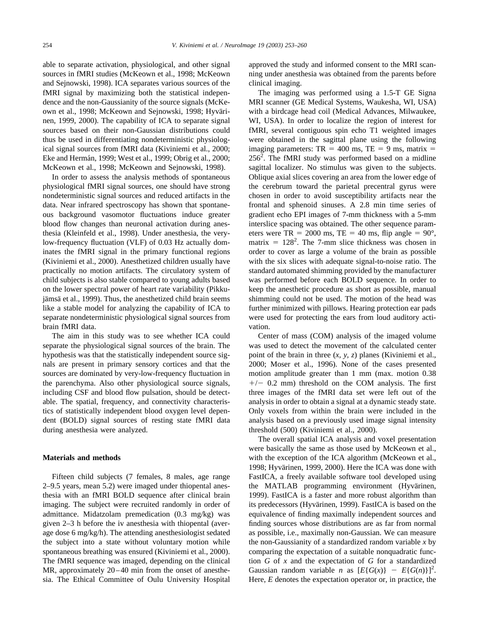able to separate activation, physiological, and other signal sources in fMRI studies [\(McKeown et al., 1998; McKeown](#page-7-0) [and Sejnowski, 1998\)](#page-7-0). ICA separates various sources of the fMRI signal by maximizing both the statistical independence and the non-Gaussianity of the source signals [\(McKe](#page-7-0)own et al., 1998; McKeown and Sejnowski, 1998; Hyväri[nen, 1999, 2000\)](#page-7-0). The capability of ICA to separate signal sources based on their non-Gaussian distributions could thus be used in differentiating nondeterministic physiological signal sources from fMRI data [\(Kiviniemi et al., 2000;](#page-7-0) Eke and Hermán, 1999; West et al., 1999; Obrig et al., 2000; [McKeown et al., 1998; McKeown and Sejnowski, 1998\).](#page-7-0)

In order to assess the analysis methods of spontaneous physiological fMRI signal sources, one should have strong nondeterministic signal sources and reduced artifacts in the data. Near infrared spectroscopy has shown that spontaneous background vasomotor fluctuations induce greater blood flow changes than neuronal activation during anesthesia [\(Kleinfeld et al., 1998\)](#page-7-0). Under anesthesia, the verylow-frequency fluctuation (VLF) of 0.03 Hz actually dominates the fMRI signal in the primary functional regions [\(Kiviniemi et al., 2000\)](#page-7-0). Anesthetized children usually have practically no motion artifacts. The circulatory system of child subjects is also stable compared to young adults based on the lower spectral power of heart rate variability [\(Pikku](#page-7-0)jämsä [et al., 1999\)](#page-7-0). Thus, the anesthetized child brain seems like a stable model for analyzing the capability of ICA to separate nondeterministic physiological signal sources from brain fMRI data.

The aim in this study was to see whether ICA could separate the physiological signal sources of the brain. The hypothesis was that the statistically independent source signals are present in primary sensory cortices and that the sources are dominated by very-low-frequency fluctuation in the parenchyma. Also other physiological source signals, including CSF and blood flow pulsation, should be detectable. The spatial, frequency, and connectivity characteristics of statistically independent blood oxygen level dependent (BOLD) signal sources of resting state fMRI data during anesthesia were analyzed.

# **Materials and methods**

Fifteen child subjects (7 females, 8 males, age range 2–9.5 years, mean 5.2) were imaged under thiopental anesthesia with an fMRI BOLD sequence after clinical brain imaging. The subject were recruited randomly in order of admittance. Midatzolam premedication (0.3 mg/kg) was given 2–3 h before the iv anesthesia with thiopental (average dose 6 mg/kg/h). The attending anesthesiologist sedated the subject into a state without voluntary motion while spontaneous breathing was ensured [\(Kiviniemi et al., 2000\)](#page-7-0). The fMRI sequence was imaged, depending on the clinical MR, approximately 20–40 min from the onset of anesthesia. The Ethical Committee of Oulu University Hospital approved the study and informed consent to the MRI scanning under anesthesia was obtained from the parents before clinical imaging.

The imaging was performed using a 1.5-T GE Signa MRI scanner (GE Medical Systems, Waukesha, WI, USA) with a birdcage head coil (Medical Advances, Milwaukee, WI, USA). In order to localize the region of interest for fMRI, several contiguous spin echo T1 weighted images were obtained in the sagittal plane using the following imaging parameters:  $TR = 400$  ms,  $TE = 9$  ms, matrix =  $256^2$ . The fMRI study was performed based on a midline sagittal localizer. No stimulus was given to the subjects. Oblique axial slices covering an area from the lower edge of the cerebrum toward the parietal precentral gyrus were chosen in order to avoid susceptibility artifacts near the frontal and sphenoid sinuses. A 2.8 min time series of gradient echo EPI images of 7-mm thickness with a 5-mm interslice spacing was obtained. The other sequence parameters were  $TR = 2000$  ms,  $TE = 40$  ms, flip angle =  $90^{\circ}$ , matrix =  $128^2$ . The 7-mm slice thickness was chosen in order to cover as large a volume of the brain as possible with the six slices with adequate signal-to-noise ratio. The standard automated shimming provided by the manufacturer was performed before each BOLD sequence. In order to keep the anesthetic procedure as short as possible, manual shimming could not be used. The motion of the head was further minimized with pillows. Hearing protection ear pads were used for protecting the ears from loud auditory activation.

Center of mass (COM) analysis of the imaged volume was used to detect the movement of the calculated center point of the brain in three (*x, y, z*) planes [\(Kiviniemi et al.,](#page-7-0) [2000; Moser et al., 1996\).](#page-7-0) None of the cases presented motion amplitude greater than 1 mm (max. motion 0.38  $+/-$  0.2 mm) threshold on the COM analysis. The first three images of the fMRI data set were left out of the analysis in order to obtain a signal at a dynamic steady state. Only voxels from within the brain were included in the analysis based on a previously used image signal intensity threshold (500) [\(Kiviniemi et al., 2000\).](#page-7-0)

The overall spatial ICA analysis and voxel presentation were basically the same as those used by McKeown et al., with the exception of the ICA algorithm [\(McKeown et al.,](#page-7-0) 1998; Hyvärinen, 1999, 2000). Here the ICA was done with FastICA, a freely available software tool developed using the MATLAB programming environment (Hyvärinen, [1999\)](#page-7-0). FastICA is a faster and more robust algorithm than its predecessors (Hyvärinen, 1999). FastICA is based on the equivalence of finding maximally independent sources and finding sources whose distributions are as far from normal as possible, i.e., maximally non-Gaussian. We can measure the non-Gaussianity of a standardized random variable *x* by comparing the expectation of a suitable nonquadratic function *G* of *x* and the expectation of *G* for a standardized Gaussian random variable *n* as  $[E\{G(x)\} - E\{G(n)\}]^2$ . Here, *E* denotes the expectation operator or, in practice, the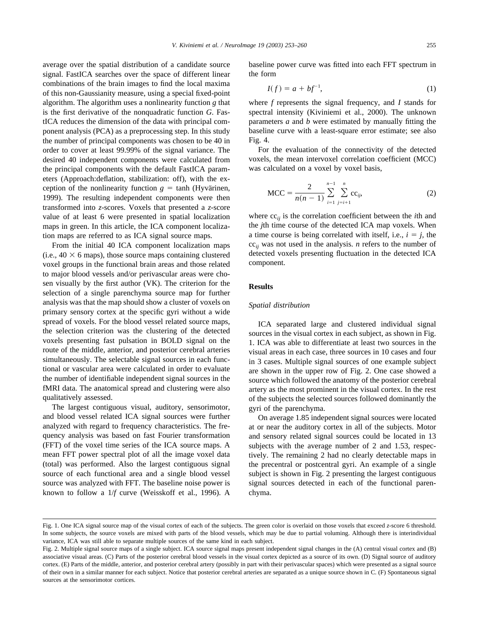<span id="page-2-0"></span>average over the spatial distribution of a candidate source signal. FastICA searches over the space of different linear combinations of the brain images to find the local maxima of this non-Gaussianity measure, using a special fixed-point algorithm. The algorithm uses a nonlinearity function *g* that is the first derivative of the nonquadratic function *G*. FastICA reduces the dimension of the data with principal component analysis (PCA) as a preprocessing step. In this study the number of principal components was chosen to be 40 in order to cover at least 99.99% of the signal variance. The desired 40 independent components were calculated from the principal components with the default FastICA parameters (Approach:deflation, stabilization: off), with the exception of the nonlinearity function  $g = \tanh$  (Hyvärinen, [1999\)](#page-7-0). The resulting independent components were then transformed into *z*-scores. Voxels that presented a *z*-score value of at least 6 were presented in spatial localization maps in green. In this article, the ICA component localization maps are referred to as ICA signal source maps.

From the initial 40 ICA component localization maps  $(i.e., 40 \times 6$  maps), those source maps containing clustered voxel groups in the functional brain areas and those related to major blood vessels and/or perivascular areas were chosen visually by the first author (VK). The criterion for the selection of a single parenchyma source map for further analysis was that the map should show a cluster of voxels on primary sensory cortex at the specific gyri without a wide spread of voxels. For the blood vessel related source maps, the selection criterion was the clustering of the detected voxels presenting fast pulsation in BOLD signal on the route of the middle, anterior, and posterior cerebral arteries simultaneously. The selectable signal sources in each functional or vascular area were calculated in order to evaluate the number of identifiable independent signal sources in the fMRI data. The anatomical spread and clustering were also qualitatively assessed.

The largest contiguous visual, auditory, sensorimotor, and blood vessel related ICA signal sources were further analyzed with regard to frequency characteristics. The frequency analysis was based on fast Fourier transformation (FFT) of the voxel time series of the ICA source maps. A mean FFT power spectral plot of all the image voxel data (total) was performed. Also the largest contiguous signal source of each functional area and a single blood vessel source was analyzed with FFT. The baseline noise power is known to follow a 1/*f* curve [\(Weisskoff et al., 1996\)](#page-7-0). A

baseline power curve was fitted into each FFT spectrum in the form

$$
I(f) = a + bf^{-1},
$$
 (1)

where *f* represents the signal frequency, and *I* stands for spectral intensity [\(Kiviniemi et al., 2000\)](#page-7-0). The unknown parameters *a* and *b* were estimated by manually fitting the baseline curve with a least-square error estimate; see also [Fig. 4.](#page-5-0)

For the evaluation of the connectivity of the detected voxels, the mean intervoxel correlation coefficient (MCC) was calculated on a voxel by voxel basis,

$$
MCC = \frac{2}{n(n-1)} \sum_{i=1}^{n-1} \sum_{j=i+1}^{n} cc_{ij},
$$
 (2)

where  $cc_{ij}$  is the correlation coefficient between the *i*th and the *j*th time course of the detected ICA map voxels. When a time course is being correlated with itself, i.e.,  $i = j$ , the  $cc<sub>ii</sub>$  was not used in the analysis. *n* refers to the number of detected voxels presenting fluctuation in the detected ICA component.

# **Results**

## *Spatial distribution*

ICA separated large and clustered individual signal sources in the visual cortex in each subject, as shown in Fig. 1. ICA was able to differentiate at least two sources in the visual areas in each case, three sources in 10 cases and four in 3 cases. Multiple signal sources of one example subject are shown in the upper row of Fig. 2. One case showed a source which followed the anatomy of the posterior cerebral artery as the most prominent in the visual cortex. In the rest of the subjects the selected sources followed dominantly the gyri of the parenchyma.

On average 1.85 independent signal sources were located at or near the auditory cortex in all of the subjects. Motor and sensory related signal sources could be located in 13 subjects with the average number of 2 and 1.53, respectively. The remaining 2 had no clearly detectable maps in the precentral or postcentral gyri. An example of a single subject is shown in Fig. 2 presenting the largest contiguous signal sources detected in each of the functional parenchyma.

Fig. 1. One ICA signal source map of the visual cortex of each of the subjects. The green color is overlaid on those voxels that exceed *z*-score 6 threshold. In some subjects, the source voxels are mixed with parts of the blood vessels, which may be due to partial voluming. Although there is interindividual variance, ICA was still able to separate multiple sources of the same kind in each subject.

Fig. 2. Multiple signal source maps of a single subject. ICA source signal maps present independent signal changes in the (A) central visual cortex and (B) associative visual areas. (C) Parts of the posterior cerebral blood vessels in the visual cortex depicted as a source of its own. (D) Signal source of auditory cortex. (E) Parts of the middle, anterior, and posterior cerebral artery (possibly in part with their perivascular spaces) which were presented as a signal source of their own in a similar manner for each subject. Notice that posterior cerebral arteries are separated as a unique source shown in C. (F) Spontaneous signal sources at the sensorimotor cortices.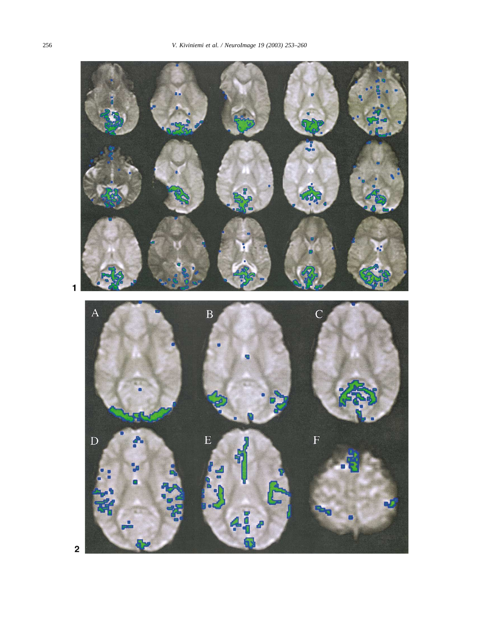

 $\mathbf{1}$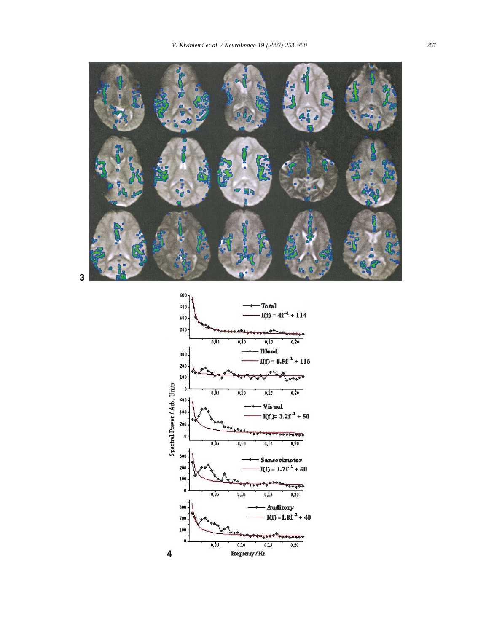

3

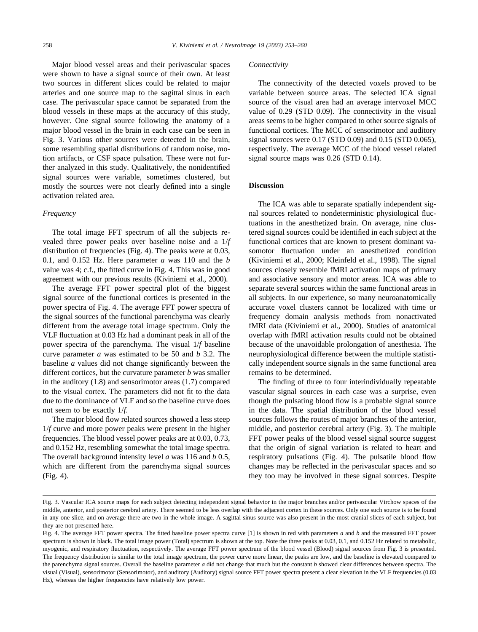<span id="page-5-0"></span>Major blood vessel areas and their perivascular spaces were shown to have a signal source of their own. At least two sources in different slices could be related to major arteries and one source map to the sagittal sinus in each case. The perivascular space cannot be separated from the blood vessels in these maps at the accuracy of this study, however. One signal source following the anatomy of a major blood vessel in the brain in each case can be seen in Fig. 3. Various other sources were detected in the brain, some resembling spatial distributions of random noise, motion artifacts, or CSF space pulsation. These were not further analyzed in this study. Qualitatively, the nonidentified signal sources were variable, sometimes clustered, but mostly the sources were not clearly defined into a single activation related area.

# *Frequency*

The total image FFT spectrum of all the subjects revealed three power peaks over baseline noise and a 1/*f* distribution of frequencies (Fig. 4). The peaks were at 0.03, 0.1, and 0.152 Hz. Here parameter *a* was 110 and the *b* value was 4; c.f., the fitted curve in Fig. 4. This was in good agreement with our previous results [\(Kiviniemi et al., 2000\).](#page-7-0)

The average FFT power spectral plot of the biggest signal source of the functional cortices is presented in the power spectra of Fig. 4. The average FFT power spectra of the signal sources of the functional parenchyma was clearly different from the average total image spectrum. Only the VLF fluctuation at 0.03 Hz had a dominant peak in all of the power spectra of the parenchyma. The visual 1/*f* baseline curve parameter *a* was estimated to be 50 and *b* 3.2. The baseline *a* values did not change significantly between the different cortices, but the curvature parameter *b* was smaller in the auditory (1.8) and sensorimotor areas (1.7) compared to the visual cortex. The parameters did not fit to the data due to the dominance of VLF and so the baseline curve does not seem to be exactly 1/*f*.

The major blood flow related sources showed a less steep 1/*f* curve and more power peaks were present in the higher frequencies. The blood vessel power peaks are at 0.03, 0.73, and 0.152 Hz, resembling somewhat the total image spectra. The overall background intensity level *a* was 116 and *b* 0.5, which are different from the parenchyma signal sources (Fig. 4).

#### *Connectivity*

The connectivity of the detected voxels proved to be variable between source areas. The selected ICA signal source of the visual area had an average intervoxel MCC value of 0.29 (STD 0.09). The connectivity in the visual areas seems to be higher compared to other source signals of functional cortices. The MCC of sensorimotor and auditory signal sources were 0.17 (STD 0.09) and 0.15 (STD 0.065), respectively. The average MCC of the blood vessel related signal source maps was 0.26 (STD 0.14).

## **Discussion**

The ICA was able to separate spatially independent signal sources related to nondeterministic physiological fluctuations in the anesthetized brain. On average, nine clustered signal sources could be identified in each subject at the functional cortices that are known to present dominant vasomotor fluctuation under an anesthetized condition [\(Kiviniemi et al., 2000; Kleinfeld et al., 1998\).](#page-7-0) The signal sources closely resemble fMRI activation maps of primary and associative sensory and motor areas. ICA was able to separate several sources within the same functional areas in all subjects. In our experience, so many neuroanatomically accurate voxel clusters cannot be localized with time or frequency domain analysis methods from nonactivated fMRI data [\(Kiviniemi et al., 2000\)](#page-7-0). Studies of anatomical overlap with fMRI activation results could not be obtained because of the unavoidable prolongation of anesthesia. The neurophysiological difference between the multiple statistically independent source signals in the same functional area remains to be determined.

The finding of three to four interindividually repeatable vascular signal sources in each case was a surprise, even though the pulsating blood flow is a probable signal source in the data. The spatial distribution of the blood vessel sources follows the routes of major branches of the anterior, middle, and posterior cerebral artery (Fig. 3). The multiple FFT power peaks of the blood vessel signal source suggest that the origin of signal variation is related to heart and respiratory pulsations (Fig. 4). The pulsatile blood flow changes may be reflected in the perivascular spaces and so they too may be involved in these signal sources. Despite

Fig. 3. Vascular ICA source maps for each subject detecting independent signal behavior in the major branches and/or perivascular Virchow spaces of the middle, anterior, and posterior cerebral artery. There seemed to be less overlap with the adjacent cortex in these sources. Only one such source is to be found in any one slice, and on average there are two in the whole image. A sagittal sinus source was also present in the most cranial slices of each subject, but they are not presented here.

Fig. 4. The average FFT power spectra. The fitted baseline power spectra curve [1] is shown in red with parameters *a* and *b* and the measured FFT power spectrum is shown in black. The total image power (Total) spectrum is shown at the top. Note the three peaks at 0.03, 0.1, and 0.152 Hz related to metabolic, myogenic, and respiratory fluctuation, respectively. The average FFT power spectrum of the blood vessel (Blood) signal sources from Fig. 3 is presented. The frequency distribution is similar to the total image spectrum, the power curve more linear, the peaks are low, and the baseline is elevated compared to the parenchyma signal sources. Overall the baseline parameter *a* did not change that much but the constant *b* showed clear differences between spectra. The visual (Visual), sensorimotor (Sensorimotor), and auditory (Auditory) signal source FFT power spectra present a clear elevation in the VLF frequencies (0.03 Hz), whereas the higher frequencies have relatively low power.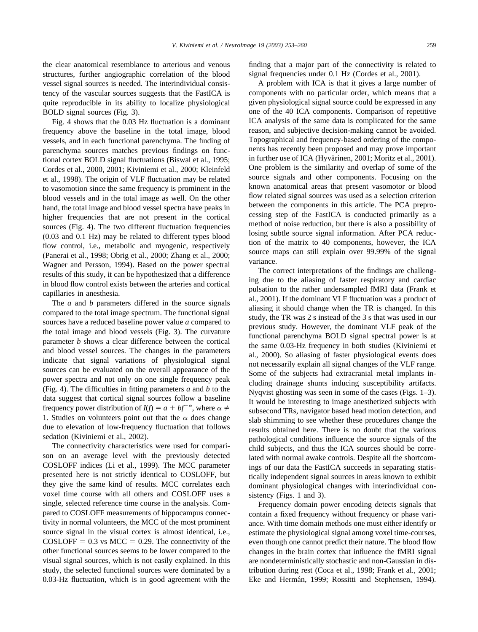the clear anatomical resemblance to arterious and venous structures, further angiographic correlation of the blood vessel signal sources is needed. The interindividual consistency of the vascular sources suggests that the FastICA is quite reproducible in its ability to localize physiological BOLD signal sources [\(Fig. 3](#page-5-0)).

[Fig. 4](#page-5-0) shows that the 0.03 Hz fluctuation is a dominant frequency above the baseline in the total image, blood vessels, and in each functional parenchyma. The finding of parenchyma sources matches previous findings on functional cortex BOLD signal fluctuations [\(Biswal et al., 1995;](#page-7-0) [Cordes et al., 2000, 2001; Kiviniemi et al., 2000; Kleinfeld](#page-7-0) [et al., 1998\).](#page-7-0) The origin of VLF fluctuation may be related to vasomotion since the same frequency is prominent in the blood vessels and in the total image as well. On the other hand, the total image and blood vessel spectra have peaks in higher frequencies that are not present in the cortical sources ([Fig. 4](#page-5-0)). The two different fluctuation frequencies (0.03 and 0.1 Hz) may be related to different types blood flow control, i.e., metabolic and myogenic, respectively [\(Panerai et al., 1998; Obrig et al., 2000; Zhang et al., 2000;](#page-7-0) [Wagner and Persson, 1994\).](#page-7-0) Based on the power spectral results of this study, it can be hypothesized that a difference in blood flow control exists between the arteries and cortical capillaries in anesthesia.

The *a* and *b* parameters differed in the source signals compared to the total image spectrum. The functional signal sources have a reduced baseline power value *a* compared to the total image and blood vessels [\(Fig. 3](#page-5-0)). The curvature parameter *b* shows a clear difference between the cortical and blood vessel sources. The changes in the parameters indicate that signal variations of physiological signal sources can be evaluated on the overall appearance of the power spectra and not only on one single frequency peak [\(Fig. 4\)](#page-5-0). The difficulties in fitting parameters *a* and *b* to the data suggest that cortical signal sources follow a baseline frequency power distribution of  $I(f) = a + bf^{-\alpha}$ , where  $\alpha \neq$ 1. Studies on volunteers point out that the  $\alpha$  does change due to elevation of low-frequency fluctuation that follows sedation [\(Kiviniemi et al., 2002\).](#page-7-0)

The connectivity characteristics were used for comparison on an average level with the previously detected COSLOFF indices [\(Li et al., 1999\)](#page-7-0). The MCC parameter presented here is not strictly identical to COSLOFF, but they give the same kind of results. MCC correlates each voxel time course with all others and COSLOFF uses a single, selected reference time course in the analysis. Compared to COSLOFF measurements of hippocampus connectivity in normal volunteers, the MCC of the most prominent source signal in the visual cortex is almost identical, i.e.,  $\text{COSLOFF} = 0.3 \text{ vs } \text{MCC} = 0.29$ . The connectivity of the other functional sources seems to be lower compared to the visual signal sources, which is not easily explained. In this study, the selected functional sources were dominated by a 0.03-Hz fluctuation, which is in good agreement with the

finding that a major part of the connectivity is related to signal frequencies under 0.1 Hz [\(Cordes et al., 2001\).](#page-7-0)

A problem with ICA is that it gives a large number of components with no particular order, which means that a given physiological signal source could be expressed in any one of the 40 ICA components. Comparison of repetitive ICA analysis of the same data is complicated for the same reason, and subjective decision-making cannot be avoided. Topographical and frequency-based ordering of the components has recently been proposed and may prove important in further use of ICA (Hyvärinen, 2001; Moritz et al., 2001). One problem is the similarity and overlap of some of the source signals and other components. Focusing on the known anatomical areas that present vasomotor or blood flow related signal sources was used as a selection criterion between the components in this article. The PCA preprocessing step of the FastICA is conducted primarily as a method of noise reduction, but there is also a possibility of losing subtle source signal information. After PCA reduction of the matrix to 40 components, however, the ICA source maps can still explain over 99.99% of the signal variance.

The correct interpretations of the findings are challenging due to the aliasing of faster respiratory and cardiac pulsation to the rather undersampled fMRI data [\(Frank et](#page-7-0) [al., 2001\).](#page-7-0) If the dominant VLF fluctuation was a product of aliasing it should change when the TR is changed. In this study, the TR was 2 s instead of the 3 s that was used in our previous study. However, the dominant VLF peak of the functional parenchyma BOLD signal spectral power is at the same 0.03-Hz frequency in both studies [\(Kiviniemi et](#page-7-0) [al., 2000\)](#page-7-0). So aliasing of faster physiological events does not necessarily explain all signal changes of the VLF range. Some of the subjects had extracranial metal implants including drainage shunts inducing susceptibility artifacts. Nyqvist ghosting was seen in some of the cases [\(Figs. 1–3\)](#page-2-0). It would be interesting to image anesthetized subjects with subsecond TRs, navigator based head motion detection, and slab shimming to see whether these procedures change the results obtained here. There is no doubt that the various pathological conditions influence the source signals of the child subjects, and thus the ICA sources should be correlated with normal awake controls. Despite all the shortcomings of our data the FastICA succeeds in separating statistically independent signal sources in areas known to exhibit dominant physiological changes with interindividual con-sistency ([Figs. 1](#page-2-0) and [3\)](#page-5-0).

Frequency domain power encoding detects signals that contain a fixed frequency without frequency or phase variance. With time domain methods one must either identify or estimate the physiological signal among voxel time-courses, even though one cannot predict their nature. The blood flow changes in the brain cortex that influence the fMRI signal are nondeterministically stochastic and non-Gaussian in distribution during rest [\(Coca et al., 1998; Frank et al., 2001;](#page-7-0) Eke and Hermán, 1999; Rossitti and Stephensen, 1994).